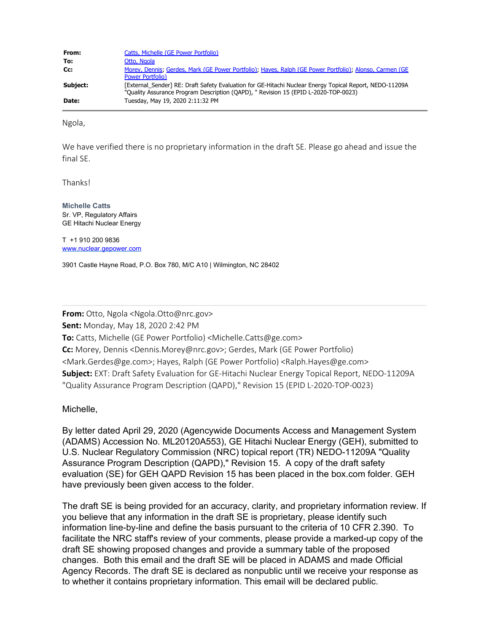| From:    | Catts, Michelle (GE Power Portfolio)                                                                                                                                                           |
|----------|------------------------------------------------------------------------------------------------------------------------------------------------------------------------------------------------|
| To:      | Otto, Ngola                                                                                                                                                                                    |
| Cc:      | Morey, Dennis; Gerdes, Mark (GE Power Portfolio); Hayes, Ralph (GE Power Portfolio); Alonso, Carmen (GE<br><b>Power Portfolio)</b>                                                             |
| Subiect: | [External Sender] RE: Draft Safety Evaluation for GE-Hitachi Nuclear Energy Topical Report, NEDO-11209A<br>"Quality Assurance Program Description (OAPD), " Revision 15 (EPID L-2020-TOP-0023) |
| Date:    | Tuesday, May 19, 2020 2:11:32 PM                                                                                                                                                               |

Ngola,

We have verified there is no proprietary information in the draft SE. Please go ahead and issue the final SE.

Thanks!

**Michelle Catts** Sr. VP, Regulatory Affairs GE Hitachi Nuclear Energy

T +1 910 200 9836 [www.nuclear.gepower.com](http://www.nuclear.gepower.com/)

3901 Castle Hayne Road, P.O. Box 780, M/C A10 | Wilmington, NC 28402

**From:** Otto, Ngola <Ngola.Otto@nrc.gov> **Sent:** Monday, May 18, 2020 2:42 PM **To:** Catts, Michelle (GE Power Portfolio) <Michelle.Catts@ge.com> **Cc:** Morey, Dennis <Dennis.Morey@nrc.gov>; Gerdes, Mark (GE Power Portfolio) <Mark.Gerdes@ge.com>; Hayes, Ralph (GE Power Portfolio) <Ralph.Hayes@ge.com> **Subject:** EXT: Draft Safety Evaluation for GE-Hitachi Nuclear Energy Topical Report, NEDO-11209A "Quality Assurance Program Description (QAPD)," Revision 15 (EPID L-2020-TOP-0023)

Michelle,

By letter dated April 29, 2020 (Agencywide Documents Access and Management System (ADAMS) Accession No. ML20120A553), GE Hitachi Nuclear Energy (GEH), submitted to U.S. Nuclear Regulatory Commission (NRC) topical report (TR) NEDO-11209A "Quality Assurance Program Description (QAPD)," Revision 15. A copy of the draft safety evaluation (SE) for GEH QAPD Revision 15 has been placed in the box.com folder. GEH have previously been given access to the folder.

The draft SE is being provided for an accuracy, clarity, and proprietary information review. If you believe that any information in the draft SE is proprietary, please identify such information line-by-line and define the basis pursuant to the criteria of 10 CFR 2.390. To facilitate the NRC staff's review of your comments, please provide a marked-up copy of the draft SE showing proposed changes and provide a summary table of the proposed changes. Both this email and the draft SE will be placed in ADAMS and made Official Agency Records. The draft SE is declared as nonpublic until we receive your response as to whether it contains proprietary information. This email will be declared public.